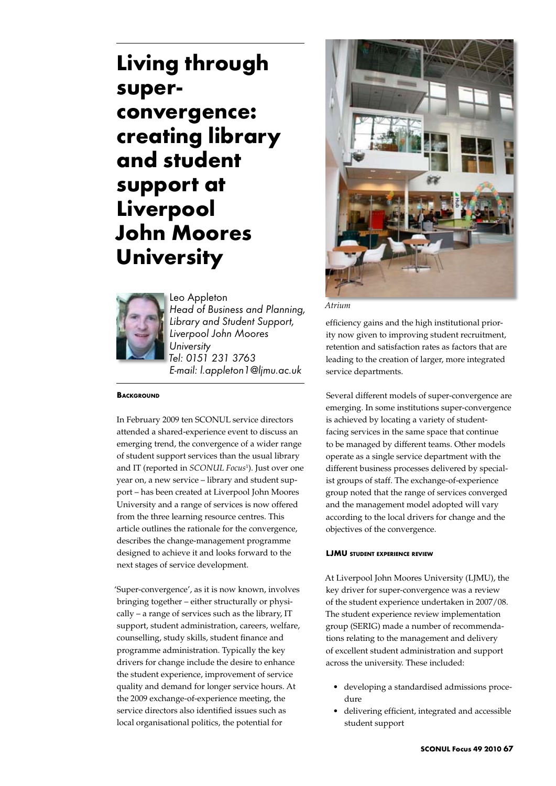# **Living through superconvergence: creating library and student support at Liverpool John Moores University**



Leo Appleton *Head of Business and Planning, Library and Student Support, Liverpool John Moores University Tel: 0151 231 3763 E-mail: l.appleton1@ljmu.ac.uk* 

#### **BACKGROUND**

In February 2009 ten SCONUL service directors attended a shared-experience event to discuss an emerging trend, the convergence of a wider range of student support services than the usual library and IT (reported in *SCONUL Focus*<sup>1</sup> ). Just over one year on, a new service – library and student support – has been created at Liverpool John Moores University and a range of services is now offered from the three learning resource centres. This article outlines the rationale for the convergence, describes the change-management programme designed to achieve it and looks forward to the next stages of service development.

'Super-convergence', as it is now known, involves bringing together – either structurally or physically – a range of services such as the library, IT support, student administration, careers, welfare, counselling, study skills, student finance and programme administration. Typically the key drivers for change include the desire to enhance the student experience, improvement of service quality and demand for longer service hours. At the 2009 exchange-of-experience meeting, the service directors also identified issues such as local organisational politics, the potential for



*Atrium*

efficiency gains and the high institutional priority now given to improving student recruitment, retention and satisfaction rates as factors that are leading to the creation of larger, more integrated service departments.

Several different models of super-convergence are emerging. In some institutions super-convergence is achieved by locating a variety of studentfacing services in the same space that continue to be managed by different teams. Other models operate as a single service department with the different business processes delivered by specialist groups of staff. The exchange-of-experience group noted that the range of services converged and the management model adopted will vary according to the local drivers for change and the objectives of the convergence.

## **LJMU student experience review**

At Liverpool John Moores University (LJMU), the key driver for super-convergence was a review of the student experience undertaken in 2007/08. The student experience review implementation group (SERIG) made a number of recommendations relating to the management and delivery of excellent student administration and support across the university. These included:

- • developing a standardised admissions procedure
- • delivering efficient, integrated and accessible student support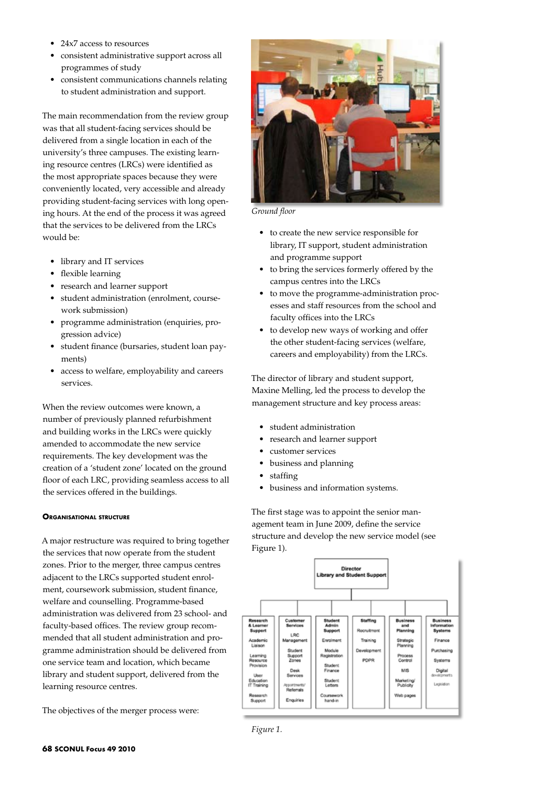- 24x7 access to resources
- • consistent administrative support across all programmes of study
- • consistent communications channels relating to student administration and support.

The main recommendation from the review group was that all student-facing services should be delivered from a single location in each of the university's three campuses. The existing learning resource centres (LRCs) were identified as the most appropriate spaces because they were conveniently located, very accessible and already providing student-facing services with long opening hours. At the end of the process it was agreed that the services to be delivered from the LRCs would be:

- library and IT services
- flexible learning
- research and learner support
- • student administration (enrolment, coursework submission)
- programme administration (enquiries, progression advice)
- • student finance (bursaries, student loan payments)
- • access to welfare, employability and careers services.

When the review outcomes were known, a number of previously planned refurbishment and building works in the LRCs were quickly amended to accommodate the new service requirements. The key development was the creation of a 'student zone' located on the ground floor of each LRC, providing seamless access to all the services offered in the buildings.

## **Organisational structure**

A major restructure was required to bring together the services that now operate from the student zones. Prior to the merger, three campus centres adjacent to the LRCs supported student enrolment, coursework submission, student finance, welfare and counselling. Programme-based administration was delivered from 23 school- and faculty-based offices. The review group recommended that all student administration and programme administration should be delivered from one service team and location, which became library and student support, delivered from the learning resource centres.

The objectives of the merger process were:



*Ground floor*

- • to create the new service responsible for library, IT support, student administration and programme support
- • to bring the services formerly offered by the campus centres into the LRCs
- to move the programme-administration processes and staff resources from the school and faculty offices into the LRCs
- to develop new ways of working and offer the other student-facing services (welfare, careers and employability) from the LRCs.

The director of library and student support, Maxine Melling, led the process to develop the management structure and key process areas:

- • student administration
- research and learner support
- • customer services
- business and planning
- staffing
- business and information systems.

The first stage was to appoint the senior management team in June 2009, define the service structure and develop the new service model (see Figure 1).



*Figure 1.*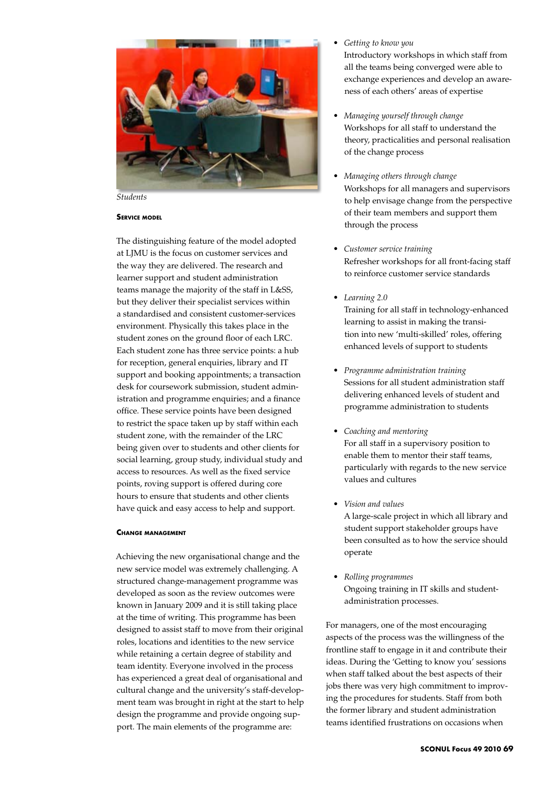

*Students*

#### **Service model**

The distinguishing feature of the model adopted at LJMU is the focus on customer services and the way they are delivered. The research and learner support and student administration teams manage the majority of the staff in L&SS, but they deliver their specialist services within a standardised and consistent customer-services environment. Physically this takes place in the student zones on the ground floor of each LRC. Each student zone has three service points: a hub for reception, general enquiries, library and IT support and booking appointments; a transaction desk for coursework submission, student administration and programme enquiries; and a finance office. These service points have been designed to restrict the space taken up by staff within each student zone, with the remainder of the LRC being given over to students and other clients for social learning, group study, individual study and access to resources. As well as the fixed service points, roving support is offered during core hours to ensure that students and other clients have quick and easy access to help and support.

#### **Change management**

Achieving the new organisational change and the new service model was extremely challenging. A structured change-management programme was developed as soon as the review outcomes were known in January 2009 and it is still taking place at the time of writing. This programme has been designed to assist staff to move from their original roles, locations and identities to the new service while retaining a certain degree of stability and team identity. Everyone involved in the process has experienced a great deal of organisational and cultural change and the university's staff-development team was brought in right at the start to help design the programme and provide ongoing support. The main elements of the programme are:

- *• Getting to know you* Introductory workshops in which staff from all the teams being converged were able to exchange experiences and develop an awareness of each others' areas of expertise
- *• Managing yourself through change* Workshops for all staff to understand the theory, practicalities and personal realisation of the change process
- *• Managing others through change* Workshops for all managers and supervisors to help envisage change from the perspective of their team members and support them through the process
- *• Customer service training* Refresher workshops for all front-facing staff to reinforce customer service standards
- *• Learning 2.0* Training for all staff in technology-enhanced learning to assist in making the transition into new 'multi-skilled' roles, offering enhanced levels of support to students
- *• Programme administration training* Sessions for all student administration staff delivering enhanced levels of student and programme administration to students
- *• Coaching and mentoring* For all staff in a supervisory position to enable them to mentor their staff teams, particularly with regards to the new service values and cultures
- *• Vision and values* A large-scale project in which all library and student support stakeholder groups have been consulted as to how the service should operate
- *• Rolling programmes* Ongoing training in IT skills and studentadministration processes.

For managers, one of the most encouraging aspects of the process was the willingness of the frontline staff to engage in it and contribute their ideas. During the 'Getting to know you' sessions when staff talked about the best aspects of their jobs there was very high commitment to improving the procedures for students. Staff from both the former library and student administration teams identified frustrations on occasions when